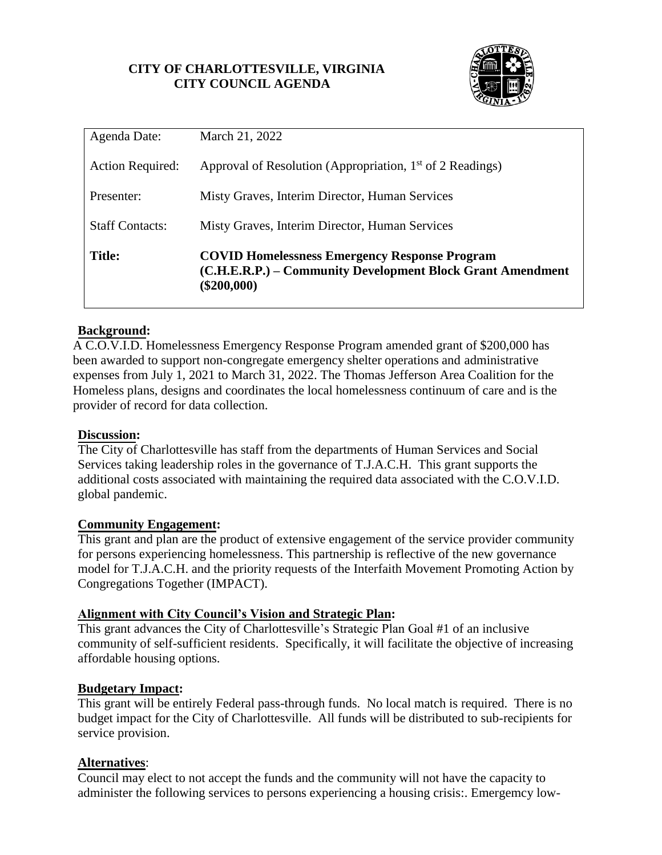## **CITY OF CHARLOTTESVILLE, VIRGINIA CITY COUNCIL AGENDA**



| Agenda Date:            | March 21, 2022                                                                                                                      |  |  |
|-------------------------|-------------------------------------------------------------------------------------------------------------------------------------|--|--|
| <b>Action Required:</b> | Approval of Resolution (Appropriation, 1 <sup>st</sup> of 2 Readings)                                                               |  |  |
| Presenter:              | Misty Graves, Interim Director, Human Services                                                                                      |  |  |
| <b>Staff Contacts:</b>  | Misty Graves, Interim Director, Human Services                                                                                      |  |  |
| <b>Title:</b>           | <b>COVID Homelessness Emergency Response Program</b><br>(C.H.E.R.P.) – Community Development Block Grant Amendment<br>$(\$200,000)$ |  |  |

## **Background:**

A C.O.V.I.D. Homelessness Emergency Response Program amended grant of \$200,000 has been awarded to support non-congregate emergency shelter operations and administrative expenses from July 1, 2021 to March 31, 2022. The Thomas Jefferson Area Coalition for the Homeless plans, designs and coordinates the local homelessness continuum of care and is the provider of record for data collection.

#### **Discussion:**

The City of Charlottesville has staff from the departments of Human Services and Social Services taking leadership roles in the governance of T.J.A.C.H. This grant supports the additional costs associated with maintaining the required data associated with the C.O.V.I.D. global pandemic.

#### **Community Engagement:**

This grant and plan are the product of extensive engagement of the service provider community for persons experiencing homelessness. This partnership is reflective of the new governance model for T.J.A.C.H. and the priority requests of the Interfaith Movement Promoting Action by Congregations Together (IMPACT).

#### **Alignment with City Council's Vision and Strategic Plan:**

This grant advances the City of Charlottesville's Strategic Plan Goal #1 of an inclusive community of self-sufficient residents. Specifically, it will facilitate the objective of increasing affordable housing options.

#### **Budgetary Impact:**

This grant will be entirely Federal pass-through funds. No local match is required. There is no budget impact for the City of Charlottesville. All funds will be distributed to sub-recipients for service provision.

#### **Alternatives**:

Council may elect to not accept the funds and the community will not have the capacity to administer the following services to persons experiencing a housing crisis:. Emergemcy low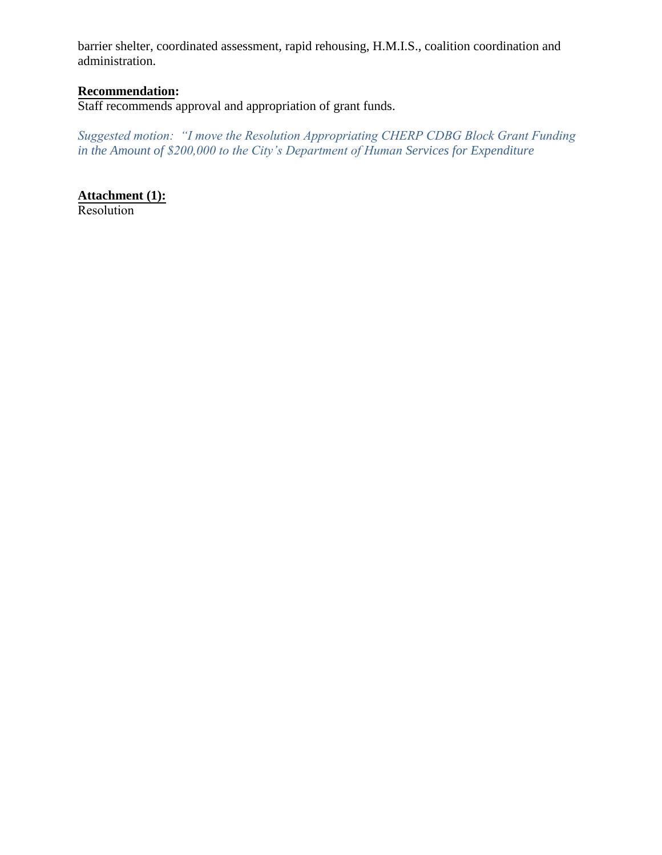barrier shelter, coordinated assessment, rapid rehousing, H.M.I.S., coalition coordination and administration.

# **Recommendation:**

Staff recommends approval and appropriation of grant funds.

*Suggested motion: "I move the Resolution Appropriating CHERP CDBG Block Grant Funding in the Amount of \$200,000 to the City's Department of Human Services for Expenditure*

**Attachment (1):** Resolution